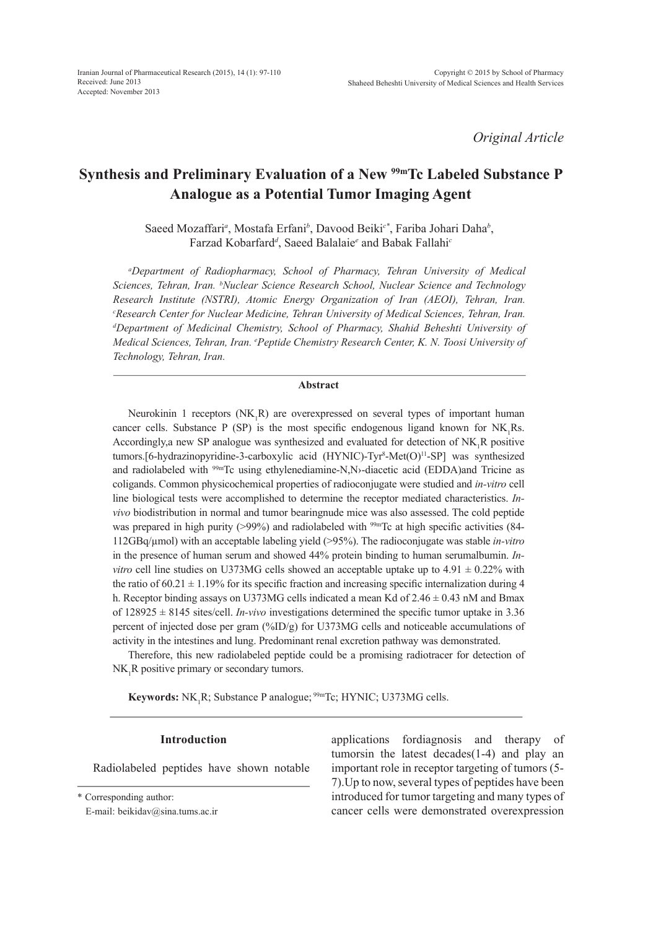*Original Article*

# **Synthesis and Preliminary Evaluation of a New 99mTc Labeled Substance P Analogue as a Potential Tumor Imaging Agent**

Saeed Mozaffari*<sup>a</sup>* , Mostafa Erfani*<sup>b</sup>* , Davood Beiki*c\**, Fariba Johari Daha*<sup>b</sup>* , Farzad Kobarfard*<sup>d</sup>* , Saeed Balalaie*<sup>e</sup>* and Babak Fallahi*<sup>c</sup>*

*a Department of Radiopharmacy, School of Pharmacy, Tehran University of Medical Sciences, Tehran, Iran. b Nuclear Science Research School, Nuclear Science and Technology Research Institute (NSTRI), Atomic Energy Organization of Iran (AEOI), Tehran, Iran. c Research Center for Nuclear Medicine, Tehran University of Medical Sciences, Tehran, Iran. d Department of Medicinal Chemistry, School of Pharmacy, Shahid Beheshti University of Medical Sciences, Tehran, Iran. e Peptide Chemistry Research Center, K. N. Toosi University of Technology, Tehran, Iran.*

# **Abstract**

Neurokinin 1 receptors  $(NK_1R)$  are overexpressed on several types of important human cancer cells. Substance P (SP) is the most specific endogenous ligand known for  $NK_1Rs$ . Accordingly, a new SP analogue was synthesized and evaluated for detection of  $NK_1R$  positive tumors.[6-hydrazinopyridine-3-carboxylic acid (HYNIC)-Tyr<sup>8</sup>-Met(O)<sup>11</sup>-SP] was synthesized and radiolabeled with <sup>99m</sup>Tc using ethylenediamine-N,N>-diacetic acid (EDDA)and Tricine as coligands. Common physicochemical properties of radioconjugate were studied and *in-vitro* cell line biological tests were accomplished to determine the receptor mediated characteristics. *Invivo* biodistribution in normal and tumor bearingnude mice was also assessed. The cold peptide was prepared in high purity (>99%) and radiolabeled with <sup>99m</sup>Tc at high specific activities (84-112GBq/µmol) with an acceptable labeling yield (>95%). The radioconjugate was stable *in-vitro* in the presence of human serum and showed 44% protein binding to human serumalbumin. *Invitro* cell line studies on U373MG cells showed an acceptable uptake up to  $4.91 \pm 0.22\%$  with the ratio of 60.21  $\pm$  1.19% for its specific fraction and increasing specific internalization during 4 h. Receptor binding assays on U373MG cells indicated a mean Kd of  $2.46 \pm 0.43$  nM and Bmax of 128925 ± 8145 sites/cell. *In-vivo* investigations determined the specific tumor uptake in 3.36 percent of injected dose per gram (%ID/g) for U373MG cells and noticeable accumulations of activity in the intestines and lung. Predominant renal excretion pathway was demonstrated.

Therefore, this new radiolabeled peptide could be a promising radiotracer for detection of  $NK_1R$  positive primary or secondary tumors.

**Keywords:** NK<sub>1</sub>R; Substance P analogue; <sup>99m</sup>Tc; HYNIC; U373MG cells.

## **Introduction**

Radiolabeled peptides have shown notable

\* Corresponding author:

E-mail: beikidav@sina.tums.ac.ir

applications fordiagnosis and therapy of tumorsin the latest decades(1-4) and play an important role in receptor targeting of tumors (5- 7).Up to now, several types of peptides have been introduced for tumor targeting and many types of cancer cells were demonstrated overexpression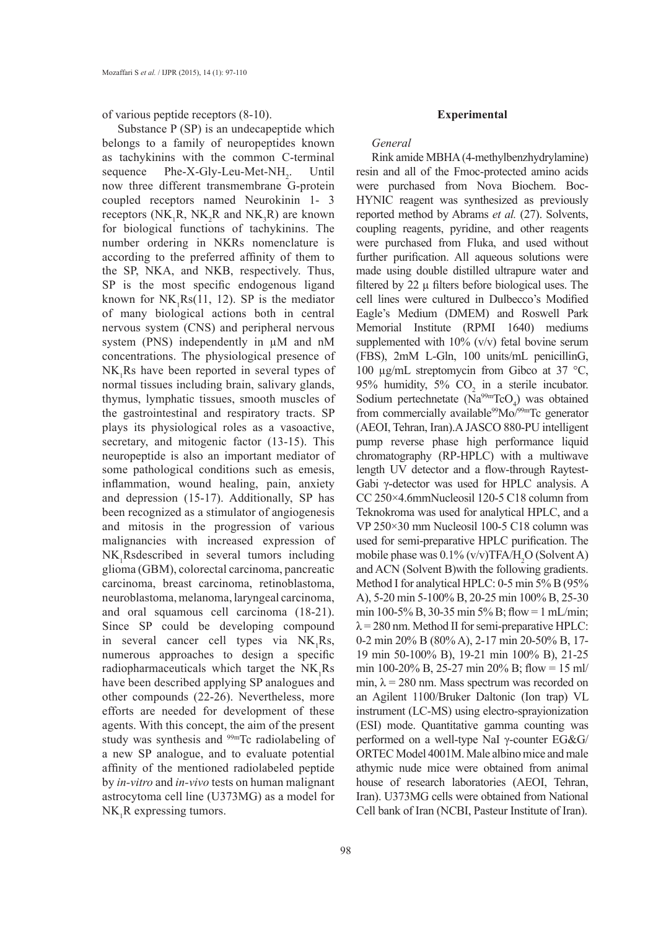of various peptide receptors (8-10).

Substance P (SP) is an undecapeptide which belongs to a family of neuropeptides known as tachykinins with the common C-terminal sequence  $Phe-X-Gly-Leu-Met-NH<sub>2</sub>$ . . Until now three different transmembrane G-protein coupled receptors named Neurokinin 1- 3 receptors ( $NK_1R$ ,  $NK_2R$  and  $NK_3R$ ) are known for biological functions of tachykinins. The number ordering in NKRs nomenclature is according to the preferred affinity of them to the SP, NKA, and NKB, respectively. Thus, SP is the most specific endogenous ligand known for  $NK_1Rs(11, 12)$ . SP is the mediator of many biological actions both in central nervous system (CNS) and peripheral nervous system (PNS) independently in  $\mu$ M and nM concentrations. The physiological presence of  $NK_1Rs$  have been reported in several types of normal tissues including brain, salivary glands, thymus, lymphatic tissues, smooth muscles of the gastrointestinal and respiratory tracts. SP plays its physiological roles as a vasoactive, secretary, and mitogenic factor (13-15). This neuropeptide is also an important mediator of some pathological conditions such as emesis, inflammation, wound healing, pain, anxiety and depression (15-17). Additionally, SP has been recognized as a stimulator of angiogenesis and mitosis in the progression of various malignancies with increased expression of  $NK_1$ Rsdescribed in several tumors including glioma (GBM), colorectal carcinoma, pancreatic carcinoma, breast carcinoma, retinoblastoma, neuroblastoma, melanoma, laryngeal carcinoma, and oral squamous cell carcinoma (18-21). Since SP could be developing compound in several cancer cell types via  $NK_1Rs$ , numerous approaches to design a specific radiopharmaceuticals which target the  $NK_1Rs$ have been described applying SP analogues and other compounds (22-26). Nevertheless, more efforts are needed for development of these agents. With this concept, the aim of the present study was synthesis and <sup>99m</sup>Tc radiolabeling of a new SP analogue, and to evaluate potential affinity of the mentioned radiolabeled peptide by *in-vitro* and *in-vivo* tests on human malignant astrocytoma cell line (U373MG) as a model for  $NK_1R$  expressing tumors.

## **Experimental**

## *General*

Rink amide MBHA (4-methylbenzhydrylamine) resin and all of the Fmoc-protected amino acids were purchased from Nova Biochem. Boc-HYNIC reagent was synthesized as previously reported method by Abrams *et al.* (27). Solvents, coupling reagents, pyridine, and other reagents were purchased from Fluka, and used without further purification. All aqueous solutions were made using double distilled ultrapure water and filtered by  $22 \mu$  filters before biological uses. The cell lines were cultured in Dulbecco's Modified Eagle's Medium (DMEM) and Roswell Park Memorial Institute (RPMI 1640) mediums supplemented with  $10\%$  (v/v) fetal bovine serum (FBS), 2mM L-Gln, 100 units/mL penicillinG, 100 µg/mL streptomycin from Gibco at 37 °C, 95% humidity, 5%  $CO<sub>2</sub>$  in a sterile incubator. Sodium pertechnetate  $(Na^{99m}TcO_4)$  was obtained from commercially available<sup>99</sup>Mo/<sup>99m</sup>Tc generator (AEOI, Tehran, Iran).A JASCO 880-PU intelligent pump reverse phase high performance liquid chromatography (RP-HPLC) with a multiwave length UV detector and a flow-through Raytest-Gabi γ-detector was used for HPLC analysis. A CC 250×4.6mmNucleosil 120-5 C18 column from Teknokroma was used for analytical HPLC, and a VP 250×30 mm Nucleosil 100-5 C18 column was used for semi-preparative HPLC purification. The mobile phase was  $0.1\%$  (v/v)TFA/H<sub>2</sub>O (Solvent A) and ACN (Solvent B)with the following gradients. Method I for analytical HPLC: 0-5 min 5% B (95% A), 5-20 min 5-100% B, 20-25 min 100% B, 25-30 min 100-5% B, 30-35 min 5% B; flow = 1 mL/min;  $\lambda$  = 280 nm. Method II for semi-preparative HPLC: 0-2 min 20% B (80% A), 2-17 min 20-50% B, 17- 19 min 50-100% B), 19-21 min 100% B), 21-25 min 100-20% B, 25-27 min 20% B; flow = 15 ml/ min,  $\lambda$  = 280 nm. Mass spectrum was recorded on an Agilent 1100/Bruker Daltonic (Ion trap) VL instrument (LC-MS) using electro-sprayionization (ESI) mode. Quantitative gamma counting was performed on a well-type NaI γ-counter EG&G/ ORTEC Model 4001M. Male albino mice and male athymic nude mice were obtained from animal house of research laboratories (AEOI, Tehran, Iran). U373MG cells were obtained from National Cell bank of Iran (NCBI, Pasteur Institute of Iran).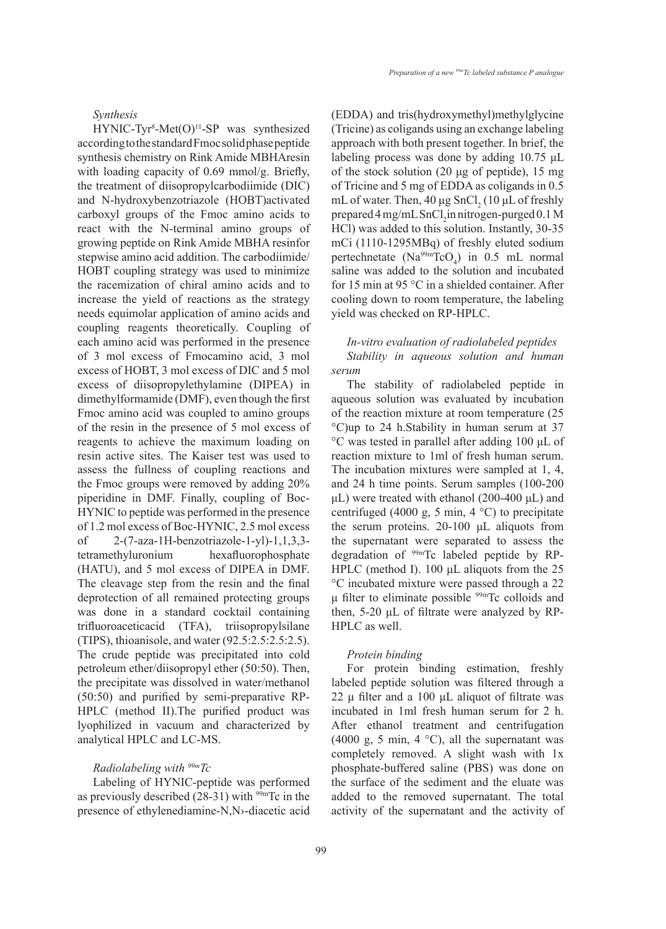$HYNIC-Tyr<sup>8</sup>-Met(O)<sup>11</sup>-SP was synthesized$ according to the standard Fmoc solid phase peptide synthesis chemistry on Rink Amide MBHAresin with loading capacity of 0.69 mmol/g. Briefly, the treatment of diisopropylcarbodiimide (DIC) and N-hydroxybenzotriazole (HOBT)activated carboxyl groups of the Fmoc amino acids to react with the N-terminal amino groups of growing peptide on Rink Amide MBHA resinfor stepwise amino acid addition. The carbodiimide/ HOBT coupling strategy was used to minimize the racemization of chiral amino acids and to increase the yield of reactions as the strategy needs equimolar application of amino acids and coupling reagents theoretically. Coupling of each amino acid was performed in the presence of 3 mol excess of Fmocamino acid, 3 mol excess of HOBT, 3 mol excess of DIC and 5 mol excess of diisopropylethylamine (DIPEA) in dimethylformamide (DMF), even though the first Fmoc amino acid was coupled to amino groups of the resin in the presence of 5 mol excess of reagents to achieve the maximum loading on resin active sites. The Kaiser test was used to assess the fullness of coupling reactions and the Fmoc groups were removed by adding 20% piperidine in DMF. Finally, coupling of Boc-HYNIC to peptide was performed in the presence of 1.2 mol excess of Boc-HYNIC, 2.5 mol excess of 2-(7-aza-1H-benzotriazole-1-yl)-1,1,3,3 tetramethyluronium hexafluorophosphate (HATU), and 5 mol excess of DIPEA in DMF. The cleavage step from the resin and the final deprotection of all remained protecting groups was done in a standard cocktail containing trifluoroaceticacid (TFA), triisopropylsilane (TIPS), thioanisole, and water (92.5:2.5:2.5:2.5). The crude peptide was precipitated into cold petroleum ether/diisopropyl ether (50:50). Then, the precipitate was dissolved in water/methanol (50:50) and purified by semi-preparative RP-HPLC (method II).The purified product was lyophilized in vacuum and characterized by analytical HPLC and LC-MS.

## *Radiolabeling with 99mTc*

Labeling of HYNIC-peptide was performed as previously described  $(28-31)$  with <sup>99m</sup>Tc in the presence of ethylenediamine-N,N›-diacetic acid (EDDA) and tris(hydroxymethyl)methylglycine (Tricine) as coligands using an exchange labeling approach with both present together. In brief, the labeling process was done by adding 10.75 μL of the stock solution (20 μg of peptide), 15 mg of Tricine and 5 mg of EDDA as coligands in 0.5 mL of water. Then,  $40 \mu g$  SnCl<sub>2</sub> (10  $\mu$ L of freshly prepared  $4 \text{ mg/mL SnCl}_2$  in nitrogen-purged  $0.1 \text{ M}$ HCl) was added to this solution. Instantly, 30-35 mCi (1110-1295MBq) of freshly eluted sodium pertechnetate  $(Na^{99m}TcO_4)$  in 0.5 mL normal saline was added to the solution and incubated for 15 min at 95 °C in a shielded container. After cooling down to room temperature, the labeling yield was checked on RP-HPLC.

# *In-vitro evaluation of radiolabeled peptides Stability in aqueous solution and human serum*

The stability of radiolabeled peptide in aqueous solution was evaluated by incubation of the reaction mixture at room temperature (25 °C)up to 24 h.Stability in human serum at 37 °C was tested in parallel after adding 100 μL of reaction mixture to 1ml of fresh human serum. The incubation mixtures were sampled at 1, 4, and 24 h time points. Serum samples (100-200 μL) were treated with ethanol (200-400 μL) and centrifuged (4000 g, 5 min, 4 °C) to precipitate the serum proteins. 20-100 μL aliquots from the supernatant were separated to assess the degradation of 99mTc labeled peptide by RP-HPLC (method I). 100 μL aliquots from the 25 °C incubated mixture were passed through a 22 μ filter to eliminate possible  $99m$ Tc colloids and then, 5-20 μL of filtrate were analyzed by RP-HPLC as well.

## *Protein binding*

For protein binding estimation, freshly labeled peptide solution was filtered through a 22 μ filter and a 100 μL aliquot of filtrate was incubated in 1ml fresh human serum for 2 h. After ethanol treatment and centrifugation (4000 g, 5 min, 4  $^{\circ}$ C), all the supernatant was completely removed. A slight wash with 1x phosphate-buffered saline (PBS) was done on the surface of the sediment and the eluate was added to the removed supernatant. The total activity of the supernatant and the activity of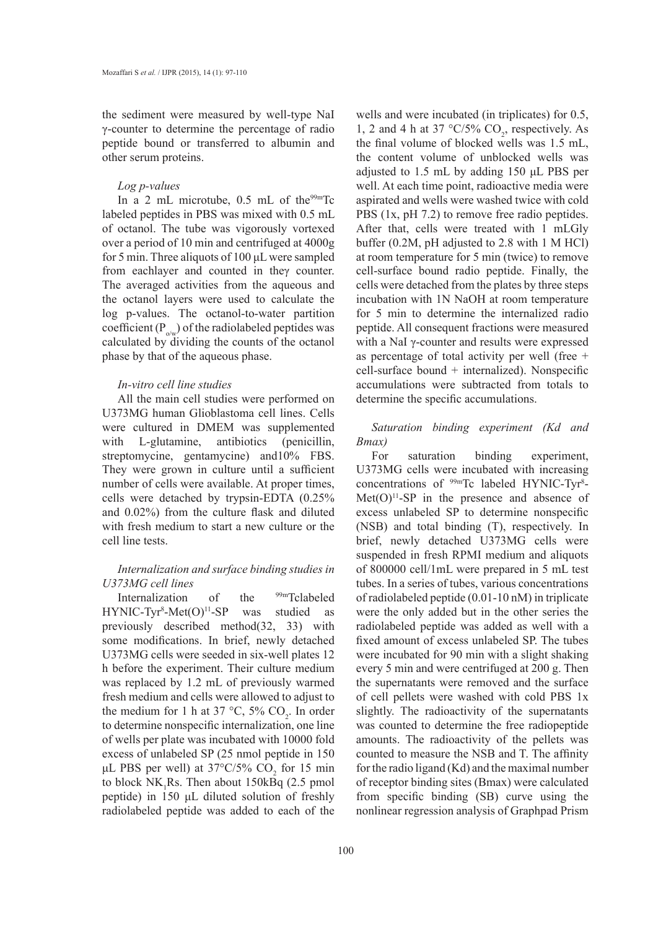the sediment were measured by well-type NaI γ-counter to determine the percentage of radio peptide bound or transferred to albumin and other serum proteins.

#### *Log p-values*

In a 2 mL microtube,  $0.5$  mL of the<sup>99m</sup>Tc labeled peptides in PBS was mixed with 0.5 mL of octanol. The tube was vigorously vortexed over a period of 10 min and centrifuged at 4000g for 5 min. Three aliquots of 100 μL were sampled from eachlayer and counted in theγ counter. The averaged activities from the aqueous and the octanol layers were used to calculate the log p-values. The octanol-to-water partition coefficient  $(P_{o/w})$  of the radiolabeled peptides was calculated by dividing the counts of the octanol phase by that of the aqueous phase.

# *In-vitro cell line studies*

All the main cell studies were performed on U373MG human Glioblastoma cell lines. Cells were cultured in DMEM was supplemented with L-glutamine, antibiotics (penicillin, streptomycine, gentamycine) and10% FBS. They were grown in culture until a sufficient number of cells were available. At proper times, cells were detached by trypsin-EDTA (0.25% and 0.02%) from the culture flask and diluted with fresh medium to start a new culture or the cell line tests.

# *Internalization and surface binding studies in U373MG cell lines*

Internalization of the <sup>99m</sup>Tclabeled  $HYNIC-Tyr<sup>8</sup>-Met(O)<sup>11</sup>-SP was studied as$ previously described method(32, 33) with some modifications. In brief, newly detached U373MG cells were seeded in six-well plates 12 h before the experiment. Their culture medium was replaced by 1.2 mL of previously warmed fresh medium and cells were allowed to adjust to the medium for 1 h at 37  $\degree$ C, 5% CO<sub>2</sub>. In order to determine nonspecific internalization, one line of wells per plate was incubated with 10000 fold excess of unlabeled SP (25 nmol peptide in 150 μL PBS per well) at  $37^{\circ}$ C/5% CO<sub>2</sub> for 15 min to block  $NK_1Rs$ . Then about 150 $kBq$  (2.5 pmol peptide) in 150 μL diluted solution of freshly radiolabeled peptide was added to each of the

wells and were incubated (in triplicates) for 0.5, 1, 2 and 4 h at 37  $\degree$ C/5% CO<sub>2</sub>, respectively. As the final volume of blocked wells was 1.5 mL, the content volume of unblocked wells was adjusted to 1.5 mL by adding 150 μL PBS per well. At each time point, radioactive media were aspirated and wells were washed twice with cold PBS (1x, pH 7.2) to remove free radio peptides. After that, cells were treated with 1 mLGly buffer (0.2M, pH adjusted to 2.8 with 1 M HCl) at room temperature for 5 min (twice) to remove cell-surface bound radio peptide. Finally, the cells were detached from the plates by three steps incubation with 1N NaOH at room temperature for 5 min to determine the internalized radio peptide. All consequent fractions were measured with a NaI γ-counter and results were expressed as percentage of total activity per well (free + cell-surface bound + internalized). Nonspecific accumulations were subtracted from totals to determine the specific accumulations.

# *Saturation binding experiment (Kd and Bmax)*

For saturation binding experiment, U373MG cells were incubated with increasing concentrations of <sup>99m</sup>Tc labeled HYNIC-Tyr<sup>8</sup>- $Met(O)^{11}-SP$  in the presence and absence of excess unlabeled SP to determine nonspecific (NSB) and total binding (T), respectively. In brief, newly detached U373MG cells were suspended in fresh RPMI medium and aliquots of 800000 cell/1mL were prepared in 5 mL test tubes. In a series of tubes, various concentrations of radiolabeled peptide (0.01-10 nM) in triplicate were the only added but in the other series the radiolabeled peptide was added as well with a fixed amount of excess unlabeled SP. The tubes were incubated for 90 min with a slight shaking every 5 min and were centrifuged at 200 g. Then the supernatants were removed and the surface of cell pellets were washed with cold PBS 1x slightly. The radioactivity of the supernatants was counted to determine the free radiopeptide amounts. The radioactivity of the pellets was counted to measure the NSB and T. The affinity for the radio ligand (Kd) and the maximal number of receptor binding sites (Bmax) were calculated from specific binding (SB) curve using the nonlinear regression analysis of Graphpad Prism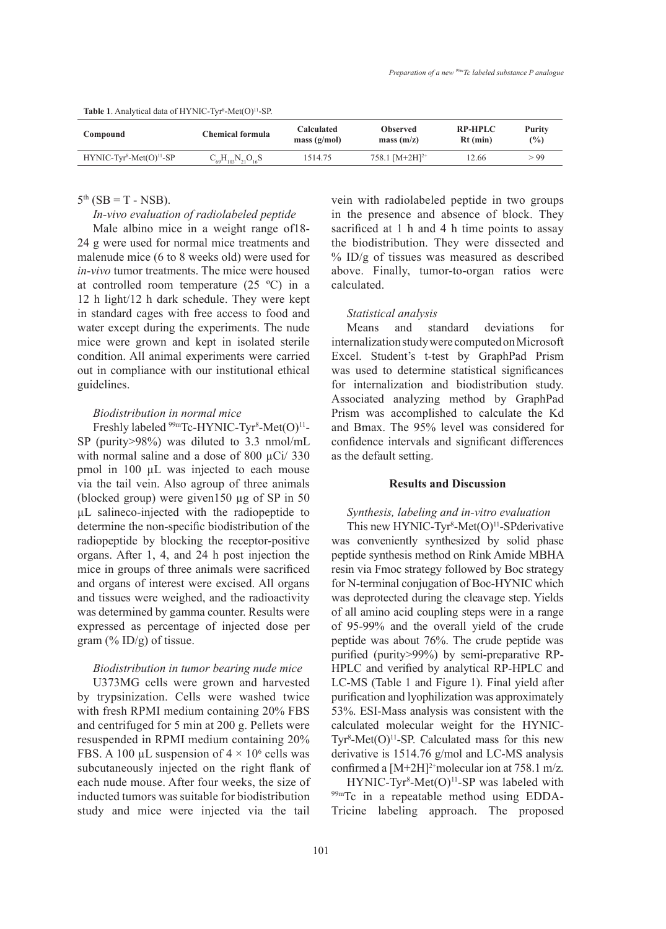| Compound                 | <b>Chemical formula</b>      | <b>Calculated</b><br>mass $(g/mol)$ | <b>Observed</b><br>mass(m/z) | <b>RP-HPLC</b><br>$Rt$ (min) | Purity<br>$\frac{9}{6}$ |
|--------------------------|------------------------------|-------------------------------------|------------------------------|------------------------------|-------------------------|
| $HYNIC-Tvr8-Met(O)11-SP$ | $C_{69}H_{103}N_{21}O_{16}S$ | 1514.75                             | 758.1 $[M+2H]^{2+}$          | 12.66                        | > 99                    |

#### **Table 1**. Analytical data of  $HYNIC-Tyr<sup>8</sup> - Met(O)<sup>11</sup>-SP.$

## $5<sup>th</sup>$  (SB = T - NSB).

## *In-vivo evaluation of radiolabeled peptide*

Male albino mice in a weight range of18- 24 g were used for normal mice treatments and malenude mice (6 to 8 weeks old) were used for *in-vivo* tumor treatments. The mice were housed at controlled room temperature  $(25 \text{ °C})$  in a 12 h light/12 h dark schedule. They were kept in standard cages with free access to food and water except during the experiments. The nude mice were grown and kept in isolated sterile condition. All animal experiments were carried out in compliance with our institutional ethical guidelines.

## *Biodistribution in normal mice*

Freshly labeled <sup>99m</sup>Tc-HYNIC-Tyr<sup>8</sup>-Met(O)<sup>11</sup>-SP (purity>98%) was diluted to 3.3 nmol/mL with normal saline and a dose of 800  $\mu$ Ci/ 330 pmol in 100 µL was injected to each mouse via the tail vein. Also agroup of three animals (blocked group) were given150 µg of SP in 50 µL salineco-injected with the radiopeptide to determine the non-specific biodistribution of the radiopeptide by blocking the receptor-positive organs. After 1, 4, and 24 h post injection the mice in groups of three animals were sacrificed and organs of interest were excised. All organs and tissues were weighed, and the radioactivity was determined by gamma counter. Results were expressed as percentage of injected dose per gram  $(\%$  ID/g) of tissue.

## *Biodistribution in tumor bearing nude mice*

U373MG cells were grown and harvested by trypsinization. Cells were washed twice with fresh RPMI medium containing 20% FBS and centrifuged for 5 min at 200 g. Pellets were resuspended in RPMI medium containing 20% FBS. A 100  $\mu$ L suspension of  $4 \times 10^6$  cells was subcutaneously injected on the right flank of each nude mouse. After four weeks, the size of inducted tumors was suitable for biodistribution study and mice were injected via the tail

vein with radiolabeled peptide in two groups in the presence and absence of block. They sacrificed at 1 h and 4 h time points to assay the biodistribution. They were dissected and  $\%$  ID/g of tissues was measured as described above. Finally, tumor-to-organ ratios were calculated.

## *Statistical analysis*

Means and standard deviations for internalization study were computed on Microsoft Excel. Student's t-test by GraphPad Prism was used to determine statistical significances for internalization and biodistribution study. Associated analyzing method by GraphPad Prism was accomplished to calculate the Kd and Bmax. The 95% level was considered for confidence intervals and significant differences as the default setting.

# **Results and Discussion**

## *Synthesis, labeling and in-vitro evaluation*

This new HYNIC-Tyr<sup>8</sup>-Met $(O)^{11}$ -SPderivative was conveniently synthesized by solid phase peptide synthesis method on Rink Amide MBHA resin via Fmoc strategy followed by Boc strategy for N-terminal conjugation of Boc-HYNIC which was deprotected during the cleavage step. Yields of all amino acid coupling steps were in a range of 95-99% and the overall yield of the crude peptide was about 76%. The crude peptide was purified (purity>99%) by semi-preparative RP-HPLC and verified by analytical RP-HPLC and LC-MS (Table 1 and Figure 1). Final yield after purification and lyophilization was approximately 53%. ESI-Mass analysis was consistent with the calculated molecular weight for the HYNIC-Tyr<sup>8</sup>-Met $(O)^{11}$ -SP. Calculated mass for this new derivative is 1514.76 g/mol and LC-MS analysis confirmed a  $[M+2H]^{2+}$ molecular ion at 758.1 m/z.

 $HYNIC-Tyr<sup>8</sup>-Met(O)<sup>11</sup>-SP was labeled with$ 99mTc in a repeatable method using EDDA-Tricine labeling approach. The proposed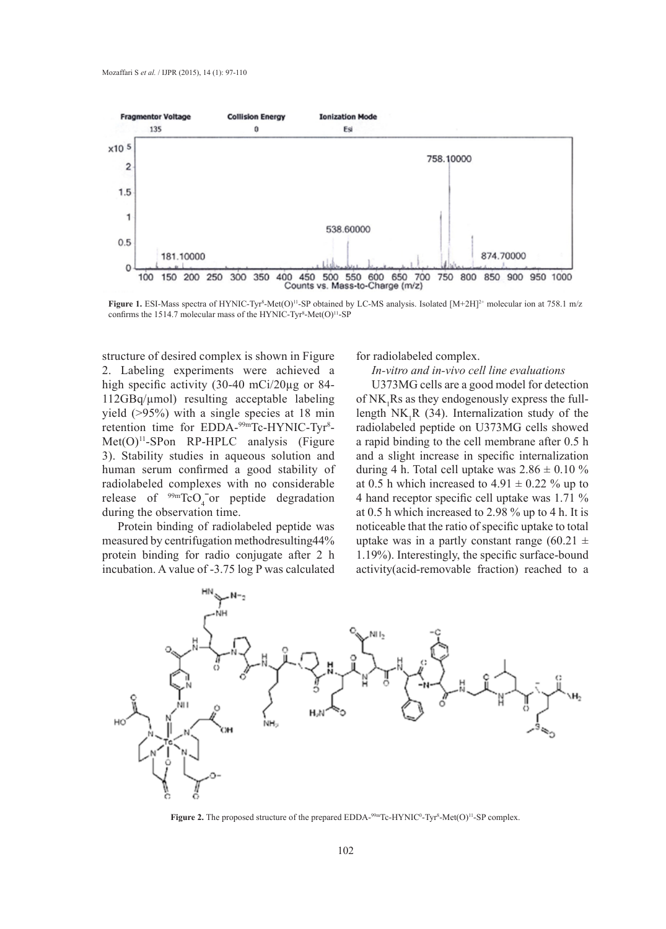

**Figure 1.** ESI-Mass spectra of HYNIC-Tyr<sup>8</sup>-Met(O)<sup>11</sup>-SP obtained by LC-MS analysis. Isolated [M+2H]<sup>2+</sup> molecular ion at 758.1 m/z confirms the 1514.7 molecular mass of the HYNIC-Tyr<sup>8</sup>-Met $(O)^{11}$ -SP

structure of desired complex is shown in Figure 2. Labeling experiments were achieved a high specific activity (30-40 mCi/20µg or 84-112GBq/µmol) resulting acceptable labeling yield (>95%) with a single species at 18 min retention time for EDDA-<sup>99m</sup>Tc-HYNIC-Tyr<sup>8</sup>-Met(O)<sup>11</sup>-SPon RP-HPLC analysis (Figure 3). Stability studies in aqueous solution and human serum confirmed a good stability of radiolabeled complexes with no considerable release of  $\frac{99 \text{m}}{\text{C}}$  or peptide degradation during the observation time.

Protein binding of radiolabeled peptide was measured by centrifugation methodresulting44% protein binding for radio conjugate after 2 h incubation. A value of -3.75 log P was calculated

for radiolabeled complex.

# *In-vitro and in-vivo cell line evaluations*

U373MG cells are a good model for detection of  $NK_1Rs$  as they endogenously express the fulllength  $NK_1R$  (34). Internalization study of the radiolabeled peptide on U373MG cells showed a rapid binding to the cell membrane after 0.5 h and a slight increase in specific internalization during 4 h. Total cell uptake was  $2.86 \pm 0.10$  % at 0.5 h which increased to 4.91  $\pm$  0.22 % up to 4 hand receptor specific cell uptake was 1.71 % at 0.5 h which increased to 2.98 % up to 4 h. It is noticeable that the ratio of specific uptake to total uptake was in a partly constant range  $(60.21 \pm$ 1.19%). Interestingly, the specific surface-bound activity(acid-removable fraction) reached to a



**Figure 2.** The proposed structure of the prepared EDDA<sup>-99mT</sup>c-HYNIC<sup>0</sup>-Tyr<sup>8</sup>-Met(O)<sup>11</sup>-SP complex.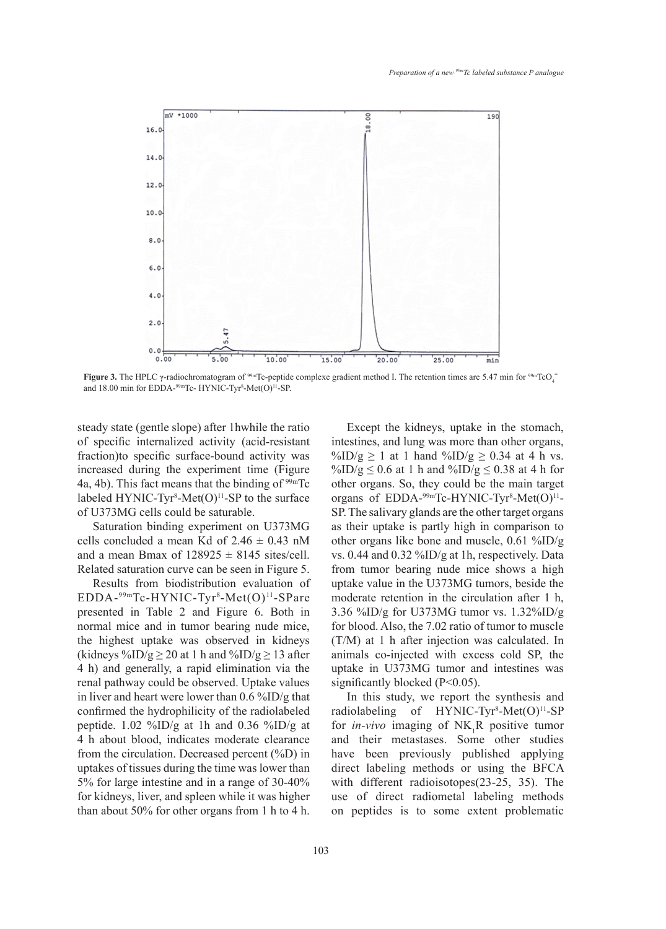

**Figure 3.** The HPLC  $\gamma$ -radiochromatogram of <sup>99mT</sup>c-peptide complexe gradient method I. The retention times are 5.47 min for <sup>99mTcO<sub>4</sub></sup> and 18.00 min for EDDA-99mTc- HYNIC-Tyr<sup>8</sup>-Met(O)<sup>11</sup>-SP.

steady state (gentle slope) after 1hwhile the ratio of specific internalized activity (acid-resistant fraction)to specific surface-bound activity was increased during the experiment time (Figure 4a, 4b). This fact means that the binding of  $99mTc$ labeled HYNIC-Tyr<sup>8</sup>-Met $(O)^{11}$ -SP to the surface of U373MG cells could be saturable.

Saturation binding experiment on U373MG cells concluded a mean Kd of  $2.46 \pm 0.43$  nM and a mean Bmax of  $128925 \pm 8145$  sites/cell. Related saturation curve can be seen in Figure 5.

Results from biodistribution evaluation of EDDA-<sup>99m</sup>Tc-HYNIC-Tyr<sup>8</sup>-Met(O)<sup>11</sup>-SPare presented in Table 2 and Figure 6. Both in normal mice and in tumor bearing nude mice, the highest uptake was observed in kidneys (kidneys %ID/g  $\geq$  20 at 1 h and %ID/g  $\geq$  13 after 4 h) and generally, a rapid elimination via the renal pathway could be observed. Uptake values in liver and heart were lower than 0.6 %ID/g that confirmed the hydrophilicity of the radiolabeled peptide.  $1.02 \frac{\%}{\mathrm{DD/g}}$  at 1h and 0.36 %ID/g at 4 h about blood, indicates moderate clearance from the circulation. Decreased percent (%D) in uptakes of tissues during the time was lower than 5% for large intestine and in a range of 30-40% for kidneys, liver, and spleen while it was higher than about 50% for other organs from 1 h to 4 h.

Except the kidneys, uptake in the stomach, intestines, and lung was more than other organs, %ID/g  $\geq$  1 at 1 hand %ID/g  $\geq$  0.34 at 4 h vs. %ID/g  $\leq$  0.6 at 1 h and %ID/g  $\leq$  0.38 at 4 h for other organs. So, they could be the main target organs of EDDA-<sup>99m</sup>Tc-HYNIC-Tyr<sup>8</sup>-Met(O)<sup>11</sup>-SP. The salivary glands are the other target organs as their uptake is partly high in comparison to other organs like bone and muscle, 0.61 %ID/g vs. 0.44 and 0.32 %ID/g at 1h, respectively. Data from tumor bearing nude mice shows a high uptake value in the U373MG tumors, beside the moderate retention in the circulation after 1 h, 3.36 %ID/g for U373MG tumor vs. 1.32%ID/g for blood. Also, the 7.02 ratio of tumor to muscle (T/M) at 1 h after injection was calculated. In animals co-injected with excess cold SP, the uptake in U373MG tumor and intestines was significantly blocked (P<0.05).

In this study, we report the synthesis and radiolabeling of  $HYNIC-Tyr<sup>8</sup>-Met(O)<sup>11</sup>-SP$ for *in-vivo* imaging of  $NK_1R$  positive tumor and their metastases. Some other studies have been previously published applying direct labeling methods or using the BFCA with different radioisotopes(23-25, 35). The use of direct radiometal labeling methods on peptides is to some extent problematic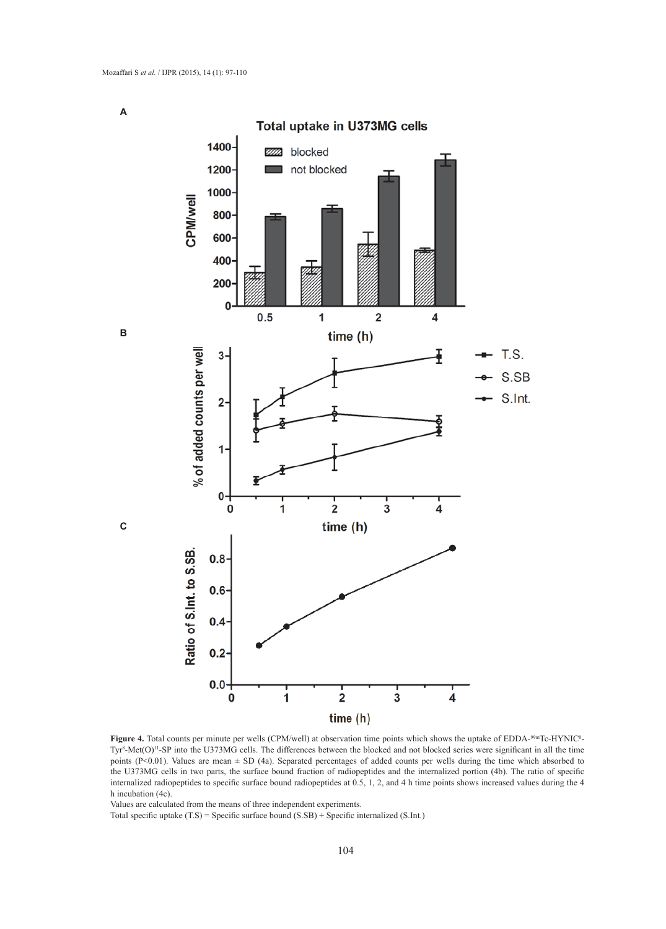**A**

**B**

**C**



**Figure 4.** Total counts per minute per wells (CPM/well) at observation time points which shows the uptake of EDDA-99mTc-HYNIC<sup>0</sup>- $Tyr<sup>8</sup>$ -Met $(O)^{11}$ -SP into the U373MG cells. The differences between the blocked and not blocked series were significant in all the time points (P<0.01). Values are mean ± SD (4a). Separated percentages of added counts per wells during the time which absorbed to the U373MG cells in two parts, the surface bound fraction of radiopeptides and the internalized portion (4b). The ratio of specific internalized radiopeptides to specific surface bound radiopeptides at 0.5, 1, 2, and 4 h time points shows increased values during the 4 h incubation (4c).

Values are calculated from the means of three independent experiments.

Total specific uptake (T.S) = Specific surface bound (S.SB) + Specific internalized (S.Int.)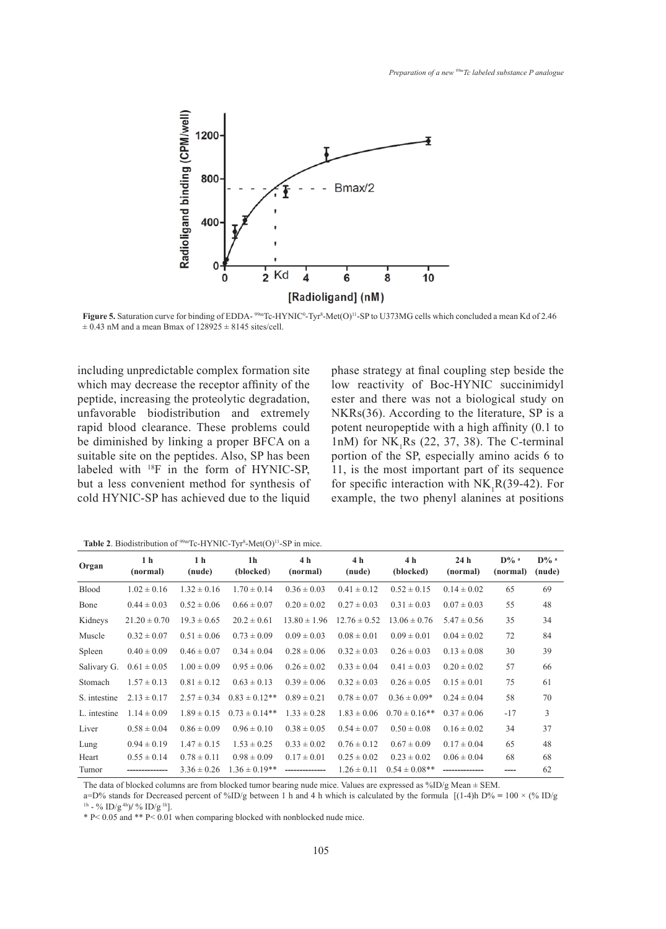

**Figure 5.** Saturation curve for binding of EDDA- $\frac{99m}{Tc}$ -HYNIC<sup>o</sup>-Tyr<sup>8</sup>-Met(O)<sup>11</sup>-SP to U373MG cells which concluded a mean Kd of 2.46  $\pm$  0.43 nM and a mean Bmax of 128925  $\pm$  8145 sites/cell.

including unpredictable complex formation site which may decrease the receptor affinity of the peptide, increasing the proteolytic degradation, unfavorable biodistribution and extremely rapid blood clearance. These problems could be diminished by linking a proper BFCA on a suitable site on the peptides. Also, SP has been labeled with <sup>18</sup>F in the form of HYNIC-SP, but a less convenient method for synthesis of cold HYNIC-SP has achieved due to the liquid phase strategy at final coupling step beside the low reactivity of Boc-HYNIC succinimidyl ester and there was not a biological study on NKRs(36). According to the literature, SP is a potent neuropeptide with a high affinity (0.1 to 1nM) for  $NK_1Rs$  (22, 37, 38). The C-terminal portion of the SP, especially amino acids 6 to 11, is the most important part of its sequence for specific interaction with  $NK_1R(39-42)$ . For example, the two phenyl alanines at positions

**Table 2**. Biodistribution of  $99m$ Tc-HYNIC-Tyr<sup>8</sup>-Met $(O)^{11}$ -SP in mice.

| Organ        | 1 <sub>h</sub><br>(normal) | 1 <sub>h</sub><br>(nude) | 1 <sub>h</sub><br>(blocked) | 4 h<br>(normal)  | 4 h<br>(nude)    | 4 h<br>(blocked)   | 24 <sub>h</sub><br>(normal) | $D\%$ <sup>a</sup><br>(normal) | $D%$ <sup>a</sup><br>(nude) |
|--------------|----------------------------|--------------------------|-----------------------------|------------------|------------------|--------------------|-----------------------------|--------------------------------|-----------------------------|
| <b>Blood</b> | $1.02 \pm 0.16$            | $1.32 \pm 0.16$          | $1.70 \pm 0.14$             | $0.36 \pm 0.03$  | $0.41 \pm 0.12$  | $0.52 \pm 0.15$    | $0.14 \pm 0.02$             | 65                             | 69                          |
| Bone         | $0.44 \pm 0.03$            | $0.52 \pm 0.06$          | $0.66 \pm 0.07$             | $0.20 \pm 0.02$  | $0.27 \pm 0.03$  | $0.31 \pm 0.03$    | $0.07 \pm 0.03$             | 55                             | 48                          |
| Kidneys      | $21.20 \pm 0.70$           | $19.3 \pm 0.65$          | $20.2 \pm 0.61$             | $13.80 \pm 1.96$ | $12.76 \pm 0.52$ | $13.06 \pm 0.76$   | $5.47 \pm 0.56$             | 35                             | 34                          |
| Muscle       | $0.32 \pm 0.07$            | $0.51 \pm 0.06$          | $0.73 \pm 0.09$             | $0.09 \pm 0.03$  | $0.08 \pm 0.01$  | $0.09 \pm 0.01$    | $0.04 \pm 0.02$             | 72                             | 84                          |
| Spleen       | $0.40 \pm 0.09$            | $0.46 \pm 0.07$          | $0.34 \pm 0.04$             | $0.28 \pm 0.06$  | $0.32 \pm 0.03$  | $0.26 \pm 0.03$    | $0.13 \pm 0.08$             | 30                             | 39                          |
| Salivary G.  | $0.61 \pm 0.05$            | $1.00 \pm 0.09$          | $0.95 \pm 0.06$             | $0.26 \pm 0.02$  | $0.33 \pm 0.04$  | $0.41 \pm 0.03$    | $0.20 \pm 0.02$             | 57                             | 66                          |
| Stomach      | $1.57 \pm 0.13$            | $0.81 \pm 0.12$          | $0.63 \pm 0.13$             | $0.39 \pm 0.06$  | $0.32 \pm 0.03$  | $0.26 \pm 0.05$    | $0.15 \pm 0.01$             | 75                             | 61                          |
| S. intestine | $2.13 \pm 0.17$            | $2.57 \pm 0.34$          | $0.83 \pm 0.12**$           | $0.89 \pm 0.21$  | $0.78 \pm 0.07$  | $0.36 \pm 0.09*$   | $0.24 \pm 0.04$             | 58                             | 70                          |
| L. intestine | $1.14 \pm 0.09$            | $1.89 \pm 0.15$          | $0.73 \pm 0.14**$           | $1.33 \pm 0.28$  | $1.83 \pm 0.06$  | $0.70 \pm 0.16$ ** | $0.37 \pm 0.06$             | $-17$                          | 3                           |
| Liver        | $0.58 \pm 0.04$            | $0.86 \pm 0.09$          | $0.96 \pm 0.10$             | $0.38 \pm 0.05$  | $0.54 \pm 0.07$  | $0.50 \pm 0.08$    | $0.16 \pm 0.02$             | 34                             | 37                          |
| Lung         | $0.94 \pm 0.19$            | $1.47 \pm 0.15$          | $1.53 \pm 0.25$             | $0.33 \pm 0.02$  | $0.76 \pm 0.12$  | $0.67 \pm 0.09$    | $0.17 \pm 0.04$             | 65                             | 48                          |
| Heart        | $0.55 \pm 0.14$            | $0.78 \pm 0.11$          | $0.98 \pm 0.09$             | $0.17 \pm 0.01$  | $0.25 \pm 0.02$  | $0.23 \pm 0.02$    | $0.06 \pm 0.04$             | 68                             | 68                          |
| Tumor        |                            | $3.36 \pm 0.26$          | $1.36 \pm 0.19**$           | --------------   | $1.26 \pm 0.11$  | $0.54 \pm 0.08$ ** |                             | ----                           | 62                          |

The data of blocked columns are from blocked tumor bearing nude mice. Values are expressed as %ID/g Mean ± SEM.

a=D% stands for Decreased percent of %ID/g between 1 h and 4 h which is calculated by the formula [(1-4)h D% **=** 100 × (% ID/g 1h - % ID/g 4h)**/** % ID/g 1h].

\* P< 0.05 and \*\* P< 0.01 when comparing blocked with nonblocked nude mice.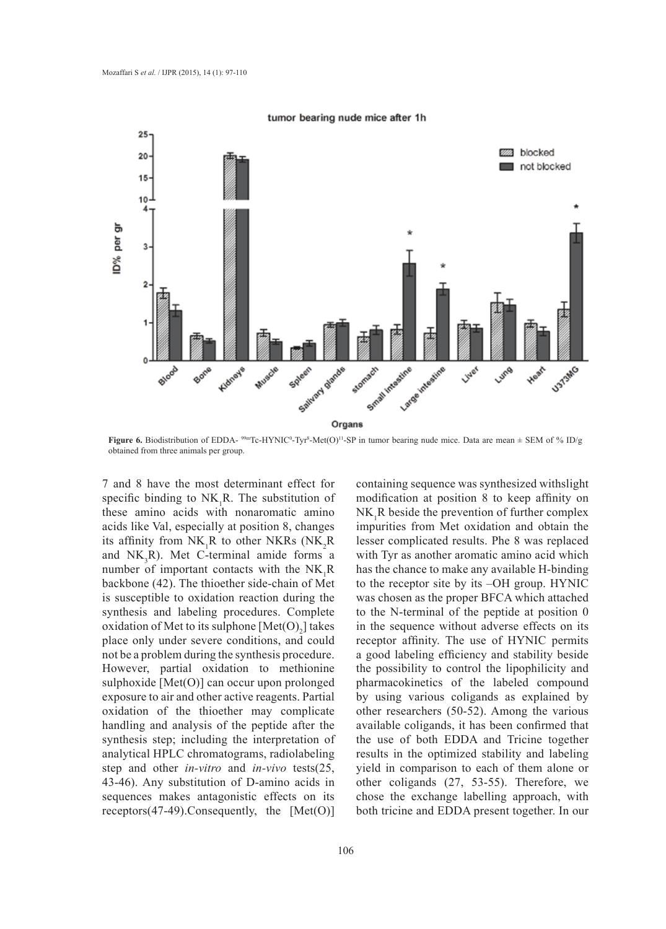



**Figure 6.** Biodistribution of EDDA-<sup>99m</sup>Tc-HYNIC<sup>0</sup>-Tyr<sup>8</sup>-Met(O)<sup>11</sup>-SP in tumor bearing nude mice. Data are mean  $\pm$  SEM of % ID/g obtained from three animals per group.

7 and 8 have the most determinant effect for specific binding to  $NK_1R$ . The substitution of these amino acids with nonaromatic amino acids like Val, especially at position 8, changes its affinity from  $NK_1R$  to other NKRs (NK<sub>2</sub>R) and  $NK_3R$ ). Met C-terminal amide forms a number of important contacts with the  $NK_1R$ backbone (42). The thioether side-chain of Met is susceptible to oxidation reaction during the synthesis and labeling procedures. Complete oxidation of Met to its sulphone  $[Met(O)<sub>2</sub>]$  takes place only under severe conditions, and could not be a problem during the synthesis procedure. However, partial oxidation to methionine sulphoxide [Met(O)] can occur upon prolonged exposure to air and other active reagents. Partial oxidation of the thioether may complicate handling and analysis of the peptide after the synthesis step; including the interpretation of analytical HPLC chromatograms, radiolabeling step and other *in-vitro* and *in-vivo* tests(25, 43-46). Any substitution of D-amino acids in sequences makes antagonistic effects on its receptors $(47-49)$ . Consequently, the [Met $(O)$ ]

containing sequence was synthesized withslight modification at position 8 to keep affinity on  $NK_1R$  beside the prevention of further complex impurities from Met oxidation and obtain the lesser complicated results. Phe 8 was replaced with Tyr as another aromatic amino acid which has the chance to make any available H-binding to the receptor site by its –OH group. HYNIC was chosen as the proper BFCA which attached to the N-terminal of the peptide at position 0 in the sequence without adverse effects on its receptor affinity. The use of HYNIC permits a good labeling efficiency and stability beside the possibility to control the lipophilicity and pharmacokinetics of the labeled compound by using various coligands as explained by other researchers (50-52). Among the various available coligands, it has been confirmed that the use of both EDDA and Tricine together results in the optimized stability and labeling yield in comparison to each of them alone or other coligands (27, 53-55). Therefore, we chose the exchange labelling approach, with both tricine and EDDA present together. In our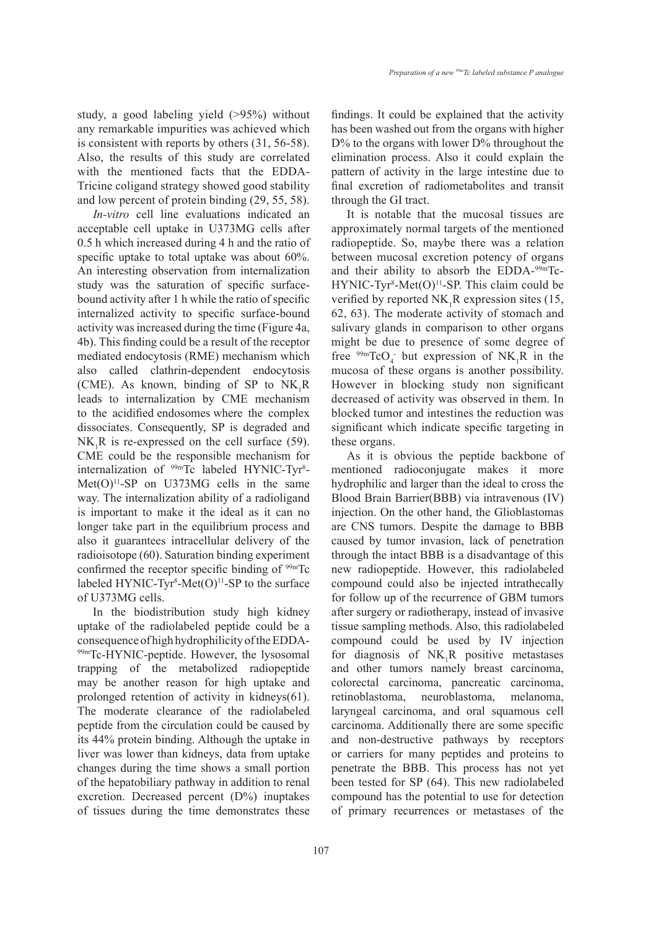study, a good labeling yield (>95%) without any remarkable impurities was achieved which is consistent with reports by others (31, 56-58). Also, the results of this study are correlated with the mentioned facts that the EDDA-Tricine coligand strategy showed good stability and low percent of protein binding (29, 55, 58).

*In-vitro* cell line evaluations indicated an acceptable cell uptake in U373MG cells after 0.5 h which increased during 4 h and the ratio of specific uptake to total uptake was about 60%. An interesting observation from internalization study was the saturation of specific surfacebound activity after 1 h while the ratio of specific internalized activity to specific surface-bound activity was increased during the time (Figure 4a, 4b). This finding could be a result of the receptor mediated endocytosis (RME) mechanism which also called clathrin-dependent endocytosis (CME). As known, binding of SP to  $NK_1R$ leads to internalization by CME mechanism to the acidified endosomes where the complex dissociates. Consequently, SP is degraded and  $NK_1R$  is re-expressed on the cell surface (59). CME could be the responsible mechanism for internalization of <sup>99m</sup>Tc labeled HYNIC-Tyr<sup>8</sup>- $Met(O)<sup>11</sup>-SP$  on U373MG cells in the same way. The internalization ability of a radioligand is important to make it the ideal as it can no longer take part in the equilibrium process and also it guarantees intracellular delivery of the radioisotope (60). Saturation binding experiment confirmed the receptor specific binding of  $99mTc$ labeled HYNIC-Tyr<sup>8</sup>-Met $(O)^{11}$ -SP to the surface of U373MG cells.

In the biodistribution study high kidney uptake of the radiolabeled peptide could be a consequence of high hydrophilicity of the EDDA-99mTc-HYNIC-peptide. However, the lysosomal trapping of the metabolized radiopeptide may be another reason for high uptake and prolonged retention of activity in kidneys(61). The moderate clearance of the radiolabeled peptide from the circulation could be caused by its 44% protein binding. Although the uptake in liver was lower than kidneys, data from uptake changes during the time shows a small portion of the hepatobiliary pathway in addition to renal excretion. Decreased percent (D%) inuptakes of tissues during the time demonstrates these findings. It could be explained that the activity has been washed out from the organs with higher D% to the organs with lower D% throughout the elimination process. Also it could explain the pattern of activity in the large intestine due to final excretion of radiometabolites and transit through the GI tract.

It is notable that the mucosal tissues are approximately normal targets of the mentioned radiopeptide. So, maybe there was a relation between mucosal excretion potency of organs and their ability to absorb the EDDA-99mTc- $HYNIC-Tyr<sup>8</sup>-Met(O)<sup>11</sup>-SP. This claim could be$ verified by reported  $NK_1R$  expression sites (15, 62, 63). The moderate activity of stomach and salivary glands in comparison to other organs might be due to presence of some degree of free  $^{99m}$ TcO<sub>4</sub> but expression of NK<sub>1</sub>R in the mucosa of these organs is another possibility. However in blocking study non significant decreased of activity was observed in them. In blocked tumor and intestines the reduction was significant which indicate specific targeting in these organs.

As it is obvious the peptide backbone of mentioned radioconjugate makes it more hydrophilic and larger than the ideal to cross the Blood Brain Barrier(BBB) via intravenous (IV) injection. On the other hand, the Glioblastomas are CNS tumors. Despite the damage to BBB caused by tumor invasion, lack of penetration through the intact BBB is a disadvantage of this new radiopeptide. However, this radiolabeled compound could also be injected intrathecally for follow up of the recurrence of GBM tumors after surgery or radiotherapy, instead of invasive tissue sampling methods. Also, this radiolabeled compound could be used by IV injection for diagnosis of  $NK_1R$  positive metastases and other tumors namely breast carcinoma, colorectal carcinoma, pancreatic carcinoma, retinoblastoma, neuroblastoma, melanoma, laryngeal carcinoma, and oral squamous cell carcinoma. Additionally there are some specific and non-destructive pathways by receptors or carriers for many peptides and proteins to penetrate the BBB. This process has not yet been tested for SP (64). This new radiolabeled compound has the potential to use for detection of primary recurrences or metastases of the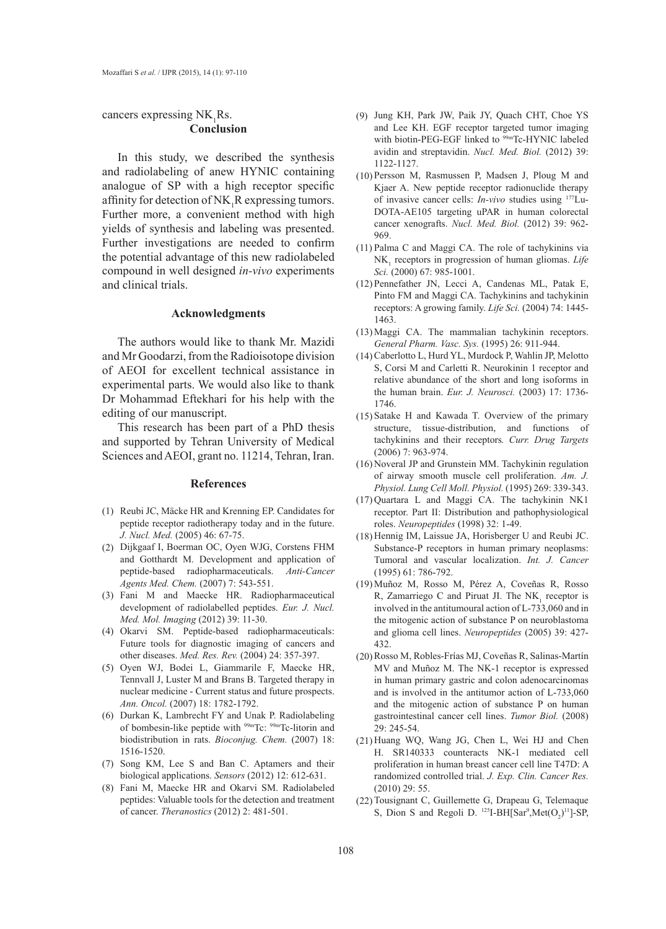# cancers expressing  $NK_1Rs$ . **Conclusion**

In this study, we described the synthesis and radiolabeling of anew HYNIC containing analogue of SP with a high receptor specific affinity for detection of  $NK_1R$  expressing tumors. Further more, a convenient method with high yields of synthesis and labeling was presented. Further investigations are needed to confirm the potential advantage of this new radiolabeled compound in well designed *in-vivo* experiments and clinical trials.

#### **Acknowledgments**

The authors would like to thank Mr. Mazidi and Mr Goodarzi, from the Radioisotope division of AEOI for excellent technical assistance in experimental parts. We would also like to thank Dr Mohammad Eftekhari for his help with the editing of our manuscript.

This research has been part of a PhD thesis and supported by Tehran University of Medical Sciences and AEOI, grant no. 11214, Tehran, Iran.

## **References**

- $(1)$  Reubi JC, Mäcke HR and Krenning EP. Candidates for peptide receptor radiotherapy today and in the future. *J. Nucl. Med.* (2005) 46: 67-75.
- Dijkgaaf I, Boerman OC, Oyen WJG, Corstens FHM (2) and Gotthardt M. Development and application of peptide-based radiopharmaceuticals. *Anti-Cancer Agents Med. Chem.* (2007) 7: 543-551.
- Fani M and Maecke HR. Radiopharmaceutical (3) development of radiolabelled peptides. *Eur. J. Nucl. Med. Mol. Imaging* (2012) 39: 11-30.
- (4) Okarvi SM. Peptide-based radiopharmaceuticals: Future tools for diagnostic imaging of cancers and other diseases. *Med. Res. Rev.* (2004) 24: 357-397.
- (5) Oyen WJ, Bodei L, Giammarile F, Maecke HR, Tennvall J, Luster M and Brans B. Targeted therapy in nuclear medicine - Current status and future prospects. *Ann. Oncol.* (2007) 18: 1782-1792.
- (6) Durkan K, Lambrecht FY and Unak P. Radiolabeling of bombesin-like peptide with 99mTc: 99mTc-litorin and biodistribution in rats. *Bioconjug. Chem.* (2007) 18: 1516-1520.
- (7) Song KM, Lee S and Ban C. Aptamers and their biological applications. *Sensors* (2012) 12: 612-631.
- Fani M, Maecke HR and Okarvi SM. Radiolabeled (8) peptides: Valuable tools for the detection and treatment of cancer. *Theranostics* (2012) 2: 481-501.
- (9) Jung KH, Park JW, Paik JY, Quach CHT, Choe YS and Lee KH. EGF receptor targeted tumor imaging with biotin-PEG-EGF linked to <sup>99m</sup>Tc-HYNIC labeled avidin and streptavidin. *Nucl. Med. Biol.* (2012) 39: 1122-1127.
- $(10)$  Persson M, Rasmussen P, Madsen J, Ploug M and Kjaer A. New peptide receptor radionuclide therapy of invasive cancer cells: *In-vivo* studies using 177Lu-DOTA-AE105 targeting uPAR in human colorectal cancer xenografts. *Nucl. Med. Biol.* (2012) 39: 962- 969.
- $(11)$  Palma C and Maggi CA. The role of tachykinins via  $NK_{1}$  receptors in progression of human gliomas. *Life Sci.* (2000) 67: 985-1001.
- (12) Pennefather JN, Lecci A, Candenas ML, Patak E, Pinto FM and Maggi CA. Tachykinins and tachykinin receptors: A growing family. *Life Sci.* (2004) 74: 1445- 1463.
- $(13)$  Maggi CA. The mammalian tachykinin receptors. *General Pharm. Vasc. Sys.* (1995) 26: 911-944.
- Caberlotto L, Hurd YL, Murdock P, Wahlin JP, Melotto (14) S, Corsi M and Carletti R. Neurokinin 1 receptor and relative abundance of the short and long isoforms in the human brain. *Eur. J. Neurosci.* (2003) 17: 1736- 1746.
- $(15)$  Satake H and Kawada T. Overview of the primary structure, tissue-distribution, and functions of tachykinins and their receptors*. Curr. Drug Targets* (2006) 7: 963-974.
- (16) Noveral JP and Grunstein MM. Tachykinin regulation of airway smooth muscle cell proliferation. *Am. J. Physiol. Lung Cell Moll. Physiol.* (1995) 269: 339-343.
- $(17)$  Quartara L and Maggi CA. The tachykinin NK1 receptor. Part II: Distribution and pathophysiological roles. *Neuropeptides* (1998) 32: 1-49.
- $(18)$  Hennig IM, Laissue JA, Horisberger U and Reubi JC. Substance-P receptors in human primary neoplasms: Tumoral and vascular localization. *Int. J. Cancer*  (1995) 61: 786-792.
- Muñoz M, Rosso M, Pérez A, Coveñas R, Rosso (19) R, Zamarriego C and Piruat JI. The  $NK_1$  receptor is involved in the antitumoural action of L-733,060 and in the mitogenic action of substance P on neuroblastoma and glioma cell lines. *Neuropeptides* (2005) 39: 427- 432.
- (20) Rosso M, Robles-Frías MJ, Coveñas R, Salinas-Martín MV and Muñoz M. The NK-1 receptor is expressed in human primary gastric and colon adenocarcinomas and is involved in the antitumor action of L-733,060 and the mitogenic action of substance P on human gastrointestinal cancer cell lines. *Tumor Biol.* (2008) 29: 245-54.
- (21) Huang WQ, Wang JG, Chen L, Wei HJ and Chen H. SR140333 counteracts NK-1 mediated cell proliferation in human breast cancer cell line T47D: A randomized controlled trial. *J. Exp. Clin. Cancer Res.*  (2010) 29: 55.
- (22) Tousignant C, Guillemette G, Drapeau G, Telemaque S, Dion S and Regoli D.  $^{125}I-BH[Sar^9, Met(O_2)^{11}]$ -SP,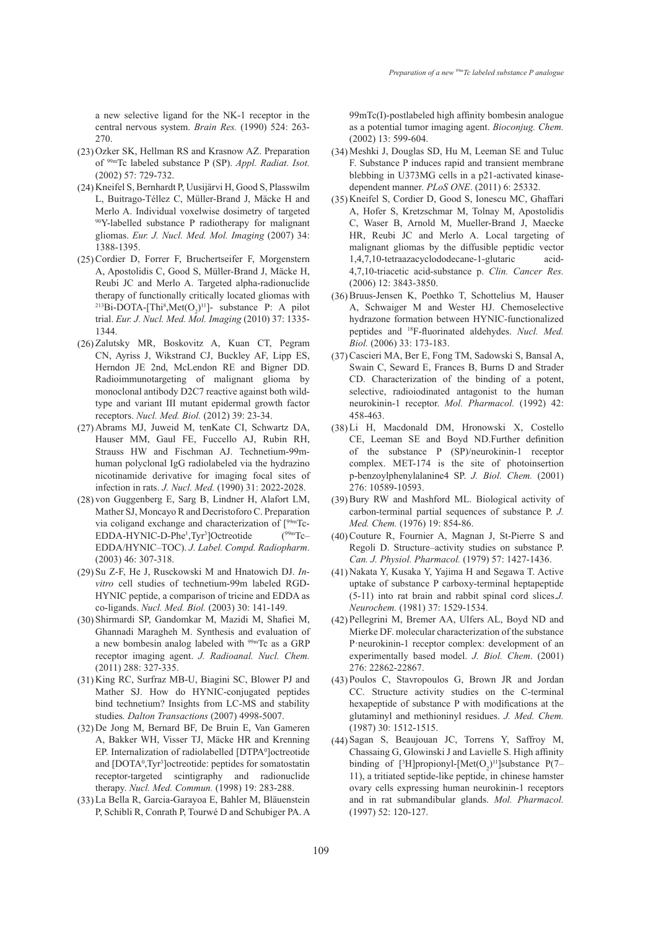a new selective ligand for the NK-1 receptor in the central nervous system. *Brain Res.* (1990) 524: 263- 270.

- (23) Ozker SK, Hellman RS and Krasnow AZ. Preparation of 99mTc labeled substance P (SP). *Appl. Radiat. Isot.*  (2002) 57: 729-732.
- (24) Kneifel S, Bernhardt P, Uusijärvi H, Good S, Plasswilm L, Buitrago-Téllez C, Müller-Brand J, Mäcke H and Merlo A. Individual voxelwise dosimetry of targeted 90Y-labelled substance P radiotherapy for malignant gliomas. *Eur. J. Nucl. Med. Mol. Imaging* (2007) 34: 1388-1395.
- (25) Cordier D, Forrer F, Bruchertseifer F, Morgenstern A, Apostolidis C, Good S, Müller-Brand J, Mäcke H, Reubi JC and Merlo A. Targeted alpha-radionuclide therapy of functionally critically located gliomas with <sup>213</sup>Bi-DOTA-[Thi<sup>8</sup>,Met $(O_2)^{11}$ ]- substance P: A pilot trial. *Eur. J. Nucl. Med. Mol. Imaging* (2010) 37: 1335- 1344.
- (26) Zalutsky MR, Boskovitz A, Kuan CT, Pegram CN, Ayriss J, Wikstrand CJ, Buckley AF, Lipp ES, Herndon JE 2nd, McLendon RE and Bigner DD. Radioimmunotargeting of malignant glioma by monoclonal antibody D2C7 reactive against both wildtype and variant III mutant epidermal growth factor receptors. *Nucl. Med. Biol.* (2012) 39: 23-34.
- (27) Abrams MJ, Juweid M, tenKate CI, Schwartz DA, Hauser MM, Gaul FE, Fuccello AJ, Rubin RH, Strauss HW and Fischman AJ. Technetium-99mhuman polyclonal IgG radiolabeled via the hydrazino nicotinamide derivative for imaging focal sites of infection in rats. *J. Nucl. Med.* (1990) 31: 2022-2028.
- (28) von Guggenberg E, Sarg B, Lindner H, Alafort LM, Mather SJ, Moncayo R and Decristoforo C. Preparation via coligand exchange and characterization of  $[<sup>99m</sup>Tc-EDDA-HYNIC-D-Phe<sup>1</sup>,<sup>3</sup>Qctreotide$  ( $<sup>99m</sup>Tc-$ </sup> EDDA-HYNIC-D-Phe<sup>1</sup>,Tyr<sup>3</sup>]Octreotide (<sup>99m</sup>Tc– EDDA/HYNIC–TOC). *J. Label. Compd. Radiopharm*. (2003) 46: 307-318.
- (29) Su Z-F, He J, Rusckowski M and Hnatowich DJ. In*vitro* cell studies of technetium-99m labeled RGD-HYNIC peptide, a comparison of tricine and EDDA as co-ligands. *Nucl. Med. Biol.* (2003) 30: 141-149.
- (30) Shirmardi SP, Gandomkar M, Mazidi M, Shafiei M, Ghannadi Maragheh M. Synthesis and evaluation of a new bombesin analog labeled with 99mTc as a GRP receptor imaging agent. *J. Radioanal. Nucl. Chem.*  (2011) 288: 327-335.
- (31) King RC, Surfraz MB-U, Biagini SC, Blower PJ and Mather SJ. How do HYNIC-conjugated peptides bind technetium? Insights from LC-MS and stability studies*. Dalton Transactions* (2007) 4998-5007.
- (32) De Jong M, Bernard BF, De Bruin E, Van Gameren A, Bakker WH, Visser TJ, Mäcke HR and Krenning EP. Internalization of radiolabelled [DTPA<sup>0</sup>] octreotide and [DOTA<sup>0</sup>,Tyr<sup>3</sup>]octreotide: peptides for somatostatin receptor-targeted scintigraphy and radionuclide therapy. *Nucl. Med. Commun.* (1998) 19: 283-288.
- La Bella R, Garcia-Garayoa E, Bahler M, Bläuenstein (33) P, Schibli R, Conrath P, Tourwé D and Schubiger PA. A

99mTc(I)-postlabeled high affinity bombesin analogue as a potential tumor imaging agent. *Bioconjug. Chem.*  (2002) 13: 599-604.

- (34) Meshki J, Douglas SD, Hu M, Leeman SE and Tuluc F. Substance P induces rapid and transient membrane blebbing in U373MG cells in a p21-activated kinasedependent manner*. PLoS ONE*. (2011) 6: 25332.
- (35) Kneifel S, Cordier D, Good S, Ionescu MC, Ghaffari A, Hofer S, Kretzschmar M, Tolnay M, Apostolidis C, Waser B, Arnold M, Mueller-Brand J, Maecke HR, Reubi JC and Merlo A. Local targeting of malignant gliomas by the diffusible peptidic vector 1,4,7,10-tetraazacyclododecane-1-glutaric acid-4,7,10-triacetic acid-substance p. *Clin. Cancer Res.*  (2006) 12: 3843-3850.
- (36) Bruus-Jensen K, Poethko T, Schottelius M, Hauser A, Schwaiger M and Wester HJ. Chemoselective hydrazone formation between HYNIC-functionalized peptides and 18F-fluorinated aldehydes. *Nucl. Med. Biol.* (2006) 33: 173-183.
- Cascieri MA, Ber E, Fong TM, Sadowski S, Bansal A, (37) Swain C, Seward E, Frances B, Burns D and Strader CD. Characterization of the binding of a potent, selective, radioiodinated antagonist to the human neurokinin-1 receptor. *Mol. Pharmacol.* (1992) 42: 458-463.
- Li H, Macdonald DM, Hronowski X, Costello (38) CE, Leeman SE and Boyd ND.Further definition of the substance P (SP)/neurokinin-1 receptor complex. MET-174 is the site of photoinsertion p-benzoylphenylalanine4 SP. *J. Biol. Chem.* (2001) 276: 10589-10593.
- (39) Bury RW and Mashford ML. Biological activity of carbon-terminal partial sequences of substance P. *J. Med. Chem.* (1976) 19: 854-86.
- (40) Couture R, Fournier A, Magnan J, St-Pierre S and Regoli D. Structure–activity studies on substance P. *Can. J. Physiol. Pharmacol.* (1979) 57: 1427-1436.
- (41) Nakata Y, Kusaka Y, Yajima H and Segawa T. Active uptake of substance P carboxy-terminal heptapeptide (5-11) into rat brain and rabbit spinal cord slices.*J. Neurochem.* (1981) 37: 1529-1534.
- Pellegrini M, Bremer AA, Ulfers AL, Boyd ND and (42) Mierke DF. molecular characterization of the substance P·neurokinin-1 receptor complex: development of an experimentally based model. *J. Biol. Chem*. (2001) 276: 22862-22867.
- Poulos C, Stavropoulos G, Brown JR and Jordan (43) CC. Structure activity studies on the C-terminal hexapeptide of substance P with modifications at the glutaminyl and methioninyl residues. *J. Med. Chem.* (1987) 30: 1512-1515.
- (44) Sagan S, Beaujouan JC, Torrens Y, Saffroy M, Chassaing G, Glowinski J and Lavielle S. High affinity binding of  $[^3H]$ propionyl- $[Met(O_2)^{11}]$ substance P(7– 11), a tritiated septide-like peptide, in chinese hamster ovary cells expressing human neurokinin-1 receptors and in rat submandibular glands. *Mol. Pharmacol.* (1997) 52: 120-127.